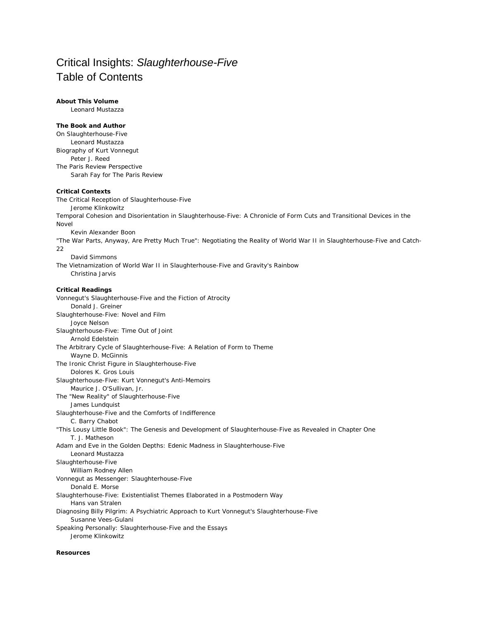# Critical Insights: *Slaughterhouse-Five* Table of Contents

## **About This Volume**

Leonard Mustazza

## **The Book and Author**

On *Slaughterhouse-Five* Leonard Mustazza Biography of Kurt Vonnegut Peter J. Reed The *Paris Review* Perspective Sarah Fay for *The Paris Review*

### **Critical Contexts**

The Critical Reception of *Slaughterhouse-Five* Jerome Klinkowitz Temporal Cohesion and Disorientation in *Slaughterhouse-Five:* A Chronicle of Form Cuts and Transitional Devices in the Novel Kevin Alexander Boon "The War Parts, Anyway, Are Pretty Much True": Negotiating the Reality of World War II in *Slaughterhouse-Five* and *Catch-22* David Simmons The Vietnamization of World War II in *Slaughterhouse-Five* and *Gravity's Rainbow* Christina Jarvis **Critical Readings** Vonnegut's *Slaughterhouse-Five* and the Fiction of Atrocity Donald J. Greiner *Slaughterhouse-Five:* Novel and Film Joyce Nelson *Slaughterhouse-Five:* Time Out of Joint Arnold Edelstein The Arbitrary Cycle of *Slaughterhouse-Five:* A Relation of Form to Theme Wayne D. McGinnis The Ironic Christ Figure in *Slaughterhouse-Five* Dolores K. Gros Louis *Slaughterhouse-Five:* Kurt Vonnegut's Anti-Memoirs Maurice J. O'Sullivan, Jr. The "New Reality" of *Slaughterhouse-Five* James Lundquist *Slaughterhouse-Five* and the Comforts of Indifference C. Barry Chabot "This Lousy Little Book": The Genesis and Development of *Slaughterhouse-Five* as Revealed in Chapter One T. J. Matheson Adam and Eve in the Golden Depths: Edenic Madness in *Slaughterhouse-Five* Leonard Mustazza *Slaughterhouse-Five* William Rodney Allen Vonnegut as Messenger: *Slaughterhouse-Five* Donald E. Morse *Slaughterhouse-Five:* Existentialist Themes Elaborated in a Postmodern Way Hans van Stralen

Diagnosing Billy Pilgrim: A Psychiatric Approach to Kurt Vonnegut's *Slaughterhouse-Five* Susanne Vees-Gulani Speaking Personally: *Slaughterhouse-Five* and the Essays

Jerome Klinkowitz

#### **Resources**